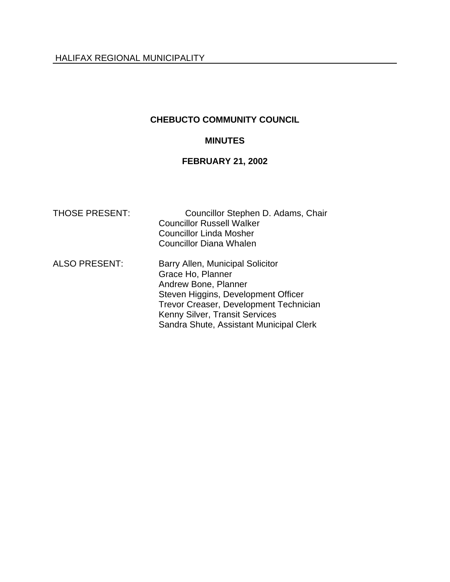# **CHEBUCTO COMMUNITY COUNCIL**

### **MINUTES**

# **FEBRUARY 21, 2002**

| <b>THOSE PRESENT:</b> | Councillor Stephen D. Adams, Chair<br><b>Councillor Russell Walker</b><br><b>Councillor Linda Mosher</b><br><b>Councillor Diana Whalen</b>                                                                                                  |
|-----------------------|---------------------------------------------------------------------------------------------------------------------------------------------------------------------------------------------------------------------------------------------|
| <b>ALSO PRESENT:</b>  | Barry Allen, Municipal Solicitor<br>Grace Ho, Planner<br>Andrew Bone, Planner<br>Steven Higgins, Development Officer<br>Trevor Creaser, Development Technician<br>Kenny Silver, Transit Services<br>Sandra Shute, Assistant Municipal Clerk |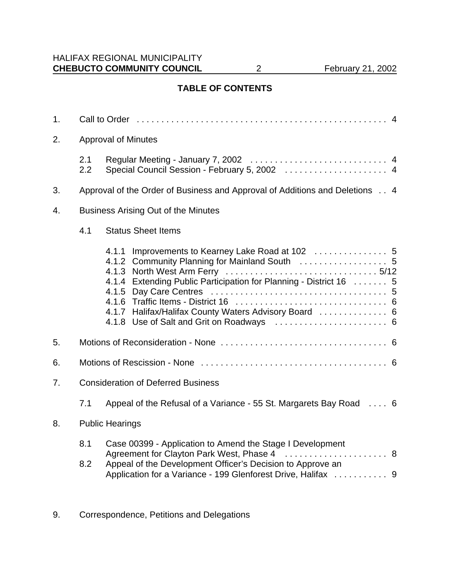# **TABLE OF CONTENTS**

| <b>Approval of Minutes</b>                 |                                                                                                                                                                                                                                         |  |  |
|--------------------------------------------|-----------------------------------------------------------------------------------------------------------------------------------------------------------------------------------------------------------------------------------------|--|--|
| 2.1<br>2.2                                 |                                                                                                                                                                                                                                         |  |  |
|                                            | Approval of the Order of Business and Approval of Additions and Deletions 4                                                                                                                                                             |  |  |
| <b>Business Arising Out of the Minutes</b> |                                                                                                                                                                                                                                         |  |  |
| 4.1<br><b>Status Sheet Items</b>           |                                                                                                                                                                                                                                         |  |  |
|                                            | 4.1.1<br>4.1.4 Extending Public Participation for Planning - District 16  5<br>4.1.7 Halifax/Halifax County Waters Advisory Board  6                                                                                                    |  |  |
|                                            |                                                                                                                                                                                                                                         |  |  |
|                                            |                                                                                                                                                                                                                                         |  |  |
| <b>Consideration of Deferred Business</b>  |                                                                                                                                                                                                                                         |  |  |
| 7.1                                        | Appeal of the Refusal of a Variance - 55 St. Margarets Bay Road  6                                                                                                                                                                      |  |  |
| <b>Public Hearings</b>                     |                                                                                                                                                                                                                                         |  |  |
| 8.1<br>8.2                                 | Case 00399 - Application to Amend the Stage I Development<br>Agreement for Clayton Park West, Phase 4  8<br>Appeal of the Development Officer's Decision to Approve an<br>Application for a Variance - 199 Glenforest Drive, Halifax  9 |  |  |
|                                            |                                                                                                                                                                                                                                         |  |  |

9. Correspondence, Petitions and Delegations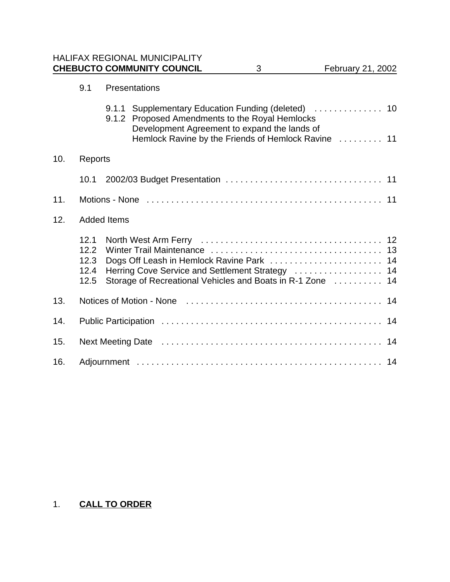HALIFAX REGIONAL MUNICIPALITY **CHEBUCTO COMMUNITY COUNCIL** 3 February 21, 2002

|     | 9.1                                  | Presentations      |                                                                                                                                                         |    |  |  |
|-----|--------------------------------------|--------------------|---------------------------------------------------------------------------------------------------------------------------------------------------------|----|--|--|
|     |                                      | 9.1.1              | 9.1.2 Proposed Amendments to the Royal Hemlocks<br>Development Agreement to expand the lands of<br>Hemlock Ravine by the Friends of Hemlock Ravine  11  |    |  |  |
| 10. | Reports                              |                    |                                                                                                                                                         |    |  |  |
|     | 10.1                                 |                    |                                                                                                                                                         |    |  |  |
| 11. |                                      |                    |                                                                                                                                                         |    |  |  |
| 12. |                                      | <b>Added Items</b> |                                                                                                                                                         |    |  |  |
|     | 12.1<br>12.2<br>12.3<br>12.4<br>12.5 |                    | Dogs Off Leash in Hemlock Ravine Park  14<br>Herring Cove Service and Settlement Strategy<br>Storage of Recreational Vehicles and Boats in R-1 Zone  14 | 14 |  |  |
| 13. |                                      |                    |                                                                                                                                                         |    |  |  |
| 14. |                                      |                    |                                                                                                                                                         |    |  |  |
| 15. |                                      |                    |                                                                                                                                                         |    |  |  |
| 16. |                                      |                    |                                                                                                                                                         |    |  |  |

# 1. **CALL TO ORDER**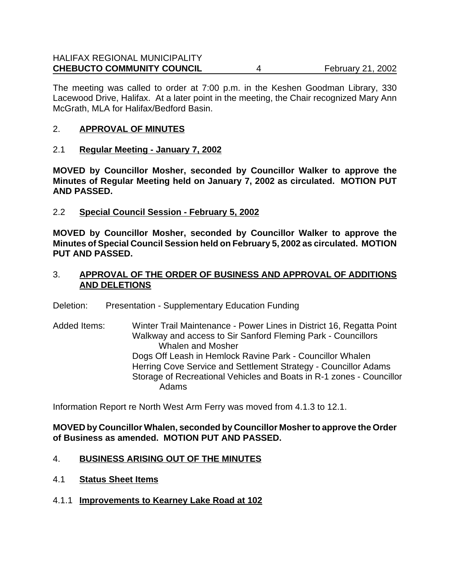The meeting was called to order at 7:00 p.m. in the Keshen Goodman Library, 330 Lacewood Drive, Halifax. At a later point in the meeting, the Chair recognized Mary Ann McGrath, MLA for Halifax/Bedford Basin.

### 2. **APPROVAL OF MINUTES**

2.1 **Regular Meeting - January 7, 2002**

**MOVED by Councillor Mosher, seconded by Councillor Walker to approve the Minutes of Regular Meeting held on January 7, 2002 as circulated. MOTION PUT AND PASSED.**

2.2 **Special Council Session - February 5, 2002**

**MOVED by Councillor Mosher, seconded by Councillor Walker to approve the Minutes of Special Council Session held on February 5, 2002 as circulated. MOTION PUT AND PASSED.**

- 3. **APPROVAL OF THE ORDER OF BUSINESS AND APPROVAL OF ADDITIONS AND DELETIONS**
- Deletion: Presentation Supplementary Education Funding
- Added Items: Winter Trail Maintenance Power Lines in District 16, Regatta Point Walkway and access to Sir Sanford Fleming Park - Councillors Whalen and Mosher Dogs Off Leash in Hemlock Ravine Park - Councillor Whalen Herring Cove Service and Settlement Strategy - Councillor Adams Storage of Recreational Vehicles and Boats in R-1 zones - Councillor Adams

Information Report re North West Arm Ferry was moved from 4.1.3 to 12.1.

**MOVED by Councillor Whalen, seconded by Councillor Mosher to approve the Order of Business as amended. MOTION PUT AND PASSED.**

### 4. **BUSINESS ARISING OUT OF THE MINUTES**

- 4.1 **Status Sheet Items**
- 4.1.1 **Improvements to Kearney Lake Road at 102**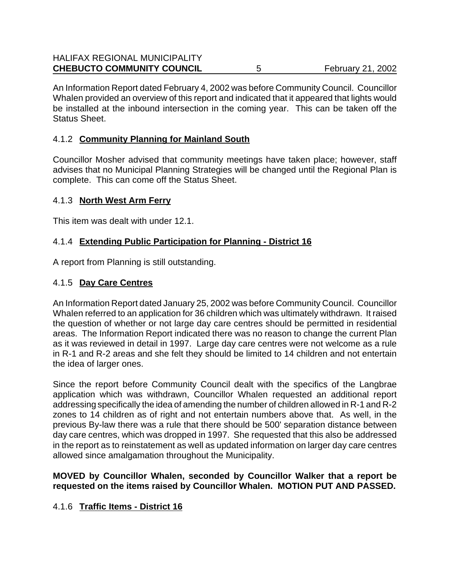An Information Report dated February 4, 2002 was before Community Council. Councillor Whalen provided an overview of this report and indicated that it appeared that lights would be installed at the inbound intersection in the coming year. This can be taken off the Status Sheet.

# 4.1.2 **Community Planning for Mainland South**

Councillor Mosher advised that community meetings have taken place; however, staff advises that no Municipal Planning Strategies will be changed until the Regional Plan is complete. This can come off the Status Sheet.

# 4.1.3 **North West Arm Ferry**

This item was dealt with under 12.1.

# 4.1.4 **Extending Public Participation for Planning - District 16**

A report from Planning is still outstanding.

# 4.1.5 **Day Care Centres**

An Information Report dated January 25, 2002 was before Community Council. Councillor Whalen referred to an application for 36 children which was ultimately withdrawn. It raised the question of whether or not large day care centres should be permitted in residential areas. The Information Report indicated there was no reason to change the current Plan as it was reviewed in detail in 1997. Large day care centres were not welcome as a rule in R-1 and R-2 areas and she felt they should be limited to 14 children and not entertain the idea of larger ones.

Since the report before Community Council dealt with the specifics of the Langbrae application which was withdrawn, Councillor Whalen requested an additional report addressing specifically the idea of amending the number of children allowed in R-1 and R-2 zones to 14 children as of right and not entertain numbers above that. As well, in the previous By-law there was a rule that there should be 500' separation distance between day care centres, which was dropped in 1997. She requested that this also be addressed in the report as to reinstatement as well as updated information on larger day care centres allowed since amalgamation throughout the Municipality.

### **MOVED by Councillor Whalen, seconded by Councillor Walker that a report be requested on the items raised by Councillor Whalen. MOTION PUT AND PASSED.**

# 4.1.6 **Traffic Items - District 16**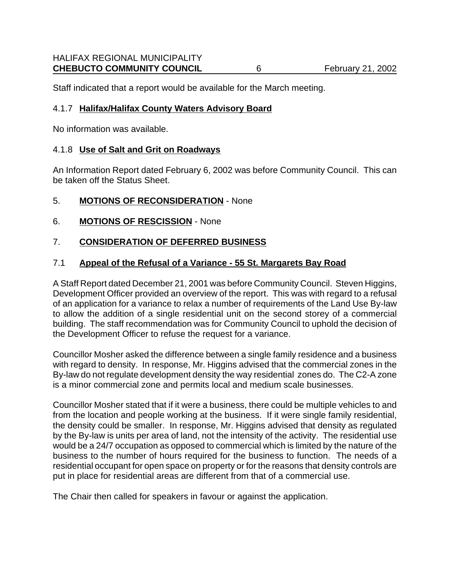Staff indicated that a report would be available for the March meeting.

### 4.1.7 **Halifax/Halifax County Waters Advisory Board**

No information was available.

### 4.1.8 **Use of Salt and Grit on Roadways**

An Information Report dated February 6, 2002 was before Community Council. This can be taken off the Status Sheet.

- 5. **MOTIONS OF RECONSIDERATION** None
- 6. **MOTIONS OF RESCISSION** None

### 7. **CONSIDERATION OF DEFERRED BUSINESS**

### 7.1 **Appeal of the Refusal of a Variance - 55 St. Margarets Bay Road**

A Staff Report dated December 21, 2001 was before Community Council. Steven Higgins, Development Officer provided an overview of the report. This was with regard to a refusal of an application for a variance to relax a number of requirements of the Land Use By-law to allow the addition of a single residential unit on the second storey of a commercial building. The staff recommendation was for Community Council to uphold the decision of the Development Officer to refuse the request for a variance.

Councillor Mosher asked the difference between a single family residence and a business with regard to density. In response, Mr. Higgins advised that the commercial zones in the By-law do not regulate development density the way residential zones do. The C2-A zone is a minor commercial zone and permits local and medium scale businesses.

Councillor Mosher stated that if it were a business, there could be multiple vehicles to and from the location and people working at the business. If it were single family residential, the density could be smaller. In response, Mr. Higgins advised that density as regulated by the By-law is units per area of land, not the intensity of the activity. The residential use would be a 24/7 occupation as opposed to commercial which is limited by the nature of the business to the number of hours required for the business to function. The needs of a residential occupant for open space on property or for the reasons that density controls are put in place for residential areas are different from that of a commercial use.

The Chair then called for speakers in favour or against the application.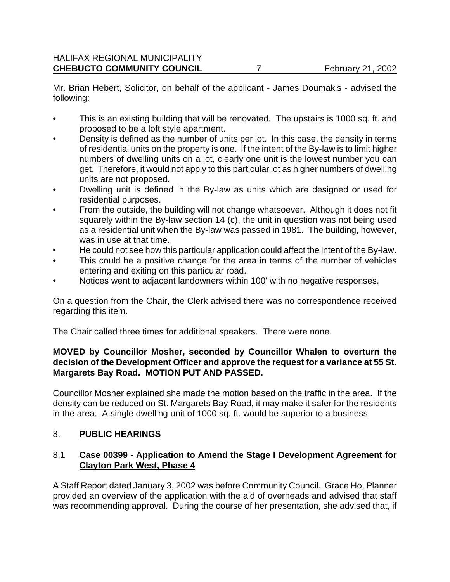Mr. Brian Hebert, Solicitor, on behalf of the applicant - James Doumakis - advised the following:

- This is an existing building that will be renovated. The upstairs is 1000 sq. ft. and proposed to be a loft style apartment.
- Density is defined as the number of units per lot. In this case, the density in terms of residential units on the property is one. If the intent of the By-law is to limit higher numbers of dwelling units on a lot, clearly one unit is the lowest number you can get. Therefore, it would not apply to this particular lot as higher numbers of dwelling units are not proposed.
- Dwelling unit is defined in the By-law as units which are designed or used for residential purposes.
- From the outside, the building will not change whatsoever. Although it does not fit squarely within the By-law section 14 (c), the unit in question was not being used as a residential unit when the By-law was passed in 1981. The building, however, was in use at that time.
- He could not see how this particular application could affect the intent of the By-law.
- This could be a positive change for the area in terms of the number of vehicles entering and exiting on this particular road.
- Notices went to adjacent landowners within 100' with no negative responses.

On a question from the Chair, the Clerk advised there was no correspondence received regarding this item.

The Chair called three times for additional speakers. There were none.

### **MOVED by Councillor Mosher, seconded by Councillor Whalen to overturn the decision of the Development Officer and approve the request for a variance at 55 St. Margarets Bay Road. MOTION PUT AND PASSED.**

Councillor Mosher explained she made the motion based on the traffic in the area. If the density can be reduced on St. Margarets Bay Road, it may make it safer for the residents in the area. A single dwelling unit of 1000 sq. ft. would be superior to a business.

# 8. **PUBLIC HEARINGS**

### 8.1 **Case 00399 - Application to Amend the Stage I Development Agreement for Clayton Park West, Phase 4**

A Staff Report dated January 3, 2002 was before Community Council. Grace Ho, Planner provided an overview of the application with the aid of overheads and advised that staff was recommending approval. During the course of her presentation, she advised that, if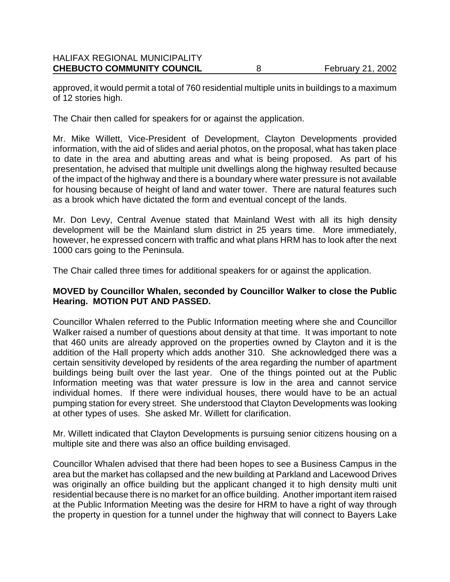approved, it would permit a total of 760 residential multiple units in buildings to a maximum of 12 stories high.

The Chair then called for speakers for or against the application.

Mr. Mike Willett, Vice-President of Development, Clayton Developments provided information, with the aid of slides and aerial photos, on the proposal, what has taken place to date in the area and abutting areas and what is being proposed. As part of his presentation, he advised that multiple unit dwellings along the highway resulted because of the impact of the highway and there is a boundary where water pressure is not available for housing because of height of land and water tower. There are natural features such as a brook which have dictated the form and eventual concept of the lands.

Mr. Don Levy, Central Avenue stated that Mainland West with all its high density development will be the Mainland slum district in 25 years time. More immediately, however, he expressed concern with traffic and what plans HRM has to look after the next 1000 cars going to the Peninsula.

The Chair called three times for additional speakers for or against the application.

### **MOVED by Councillor Whalen, seconded by Councillor Walker to close the Public Hearing. MOTION PUT AND PASSED.**

Councillor Whalen referred to the Public Information meeting where she and Councillor Walker raised a number of questions about density at that time. It was important to note that 460 units are already approved on the properties owned by Clayton and it is the addition of the Hall property which adds another 310. She acknowledged there was a certain sensitivity developed by residents of the area regarding the number of apartment buildings being built over the last year. One of the things pointed out at the Public Information meeting was that water pressure is low in the area and cannot service individual homes. If there were individual houses, there would have to be an actual pumping station for every street. She understood that Clayton Developments was looking at other types of uses. She asked Mr. Willett for clarification.

Mr. Willett indicated that Clayton Developments is pursuing senior citizens housing on a multiple site and there was also an office building envisaged.

Councillor Whalen advised that there had been hopes to see a Business Campus in the area but the market has collapsed and the new building at Parkland and Lacewood Drives was originally an office building but the applicant changed it to high density multi unit residential because there is no market for an office building. Another important item raised at the Public Information Meeting was the desire for HRM to have a right of way through the property in question for a tunnel under the highway that will connect to Bayers Lake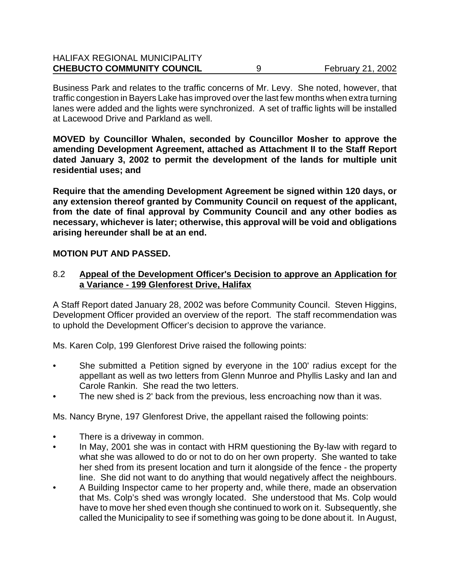| <b>CHEBUCTO COMMUNITY COUNCIL</b>    | <b>February 21, 2002</b> |
|--------------------------------------|--------------------------|
| <b>HALIFAX REGIONAL MUNICIPALITY</b> |                          |

Business Park and relates to the traffic concerns of Mr. Levy. She noted, however, that traffic congestion in Bayers Lake has improved over the last few months when extra turning lanes were added and the lights were synchronized. A set of traffic lights will be installed at Lacewood Drive and Parkland as well.

**MOVED by Councillor Whalen, seconded by Councillor Mosher to approve the amending Development Agreement, attached as Attachment II to the Staff Report dated January 3, 2002 to permit the development of the lands for multiple unit residential uses; and**

**Require that the amending Development Agreement be signed within 120 days, or any extension thereof granted by Community Council on request of the applicant, from the date of final approval by Community Council and any other bodies as necessary, whichever is later; otherwise, this approval will be void and obligations arising hereunder shall be at an end.**

### **MOTION PUT AND PASSED.**

### 8.2 **Appeal of the Development Officer's Decision to approve an Application for a Variance - 199 Glenforest Drive, Halifax**

A Staff Report dated January 28, 2002 was before Community Council. Steven Higgins, Development Officer provided an overview of the report. The staff recommendation was to uphold the Development Officer's decision to approve the variance.

Ms. Karen Colp, 199 Glenforest Drive raised the following points:

- She submitted a Petition signed by everyone in the 100' radius except for the appellant as well as two letters from Glenn Munroe and Phyllis Lasky and Ian and Carole Rankin. She read the two letters.
- The new shed is 2' back from the previous, less encroaching now than it was.

Ms. Nancy Bryne, 197 Glenforest Drive, the appellant raised the following points:

- There is a driveway in common.
- In May, 2001 she was in contact with HRM questioning the By-law with regard to what she was allowed to do or not to do on her own property. She wanted to take her shed from its present location and turn it alongside of the fence - the property line. She did not want to do anything that would negatively affect the neighbours.
- A Building Inspector came to her property and, while there, made an observation that Ms. Colp's shed was wrongly located. She understood that Ms. Colp would have to move her shed even though she continued to work on it. Subsequently, she called the Municipality to see if something was going to be done about it. In August,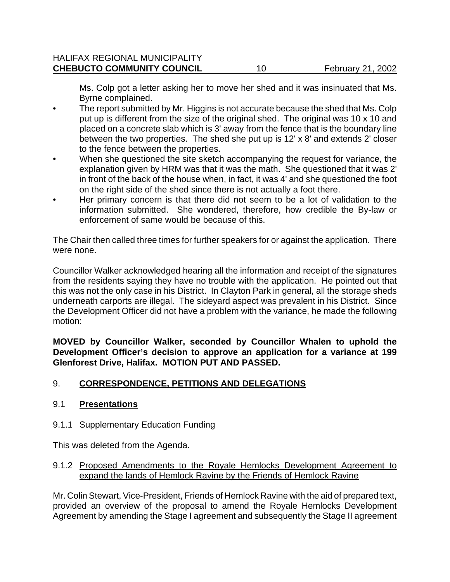Ms. Colp got a letter asking her to move her shed and it was insinuated that Ms. Byrne complained.

- The report submitted by Mr. Higgins is not accurate because the shed that Ms. Colp put up is different from the size of the original shed. The original was 10 x 10 and placed on a concrete slab which is 3' away from the fence that is the boundary line between the two properties. The shed she put up is 12' x 8' and extends 2' closer to the fence between the properties.
- When she questioned the site sketch accompanying the request for variance, the explanation given by HRM was that it was the math. She questioned that it was 2' in front of the back of the house when, in fact, it was 4' and she questioned the foot on the right side of the shed since there is not actually a foot there.
- Her primary concern is that there did not seem to be a lot of validation to the information submitted. She wondered, therefore, how credible the By-law or enforcement of same would be because of this.

The Chair then called three times for further speakers for or against the application. There were none.

Councillor Walker acknowledged hearing all the information and receipt of the signatures from the residents saying they have no trouble with the application. He pointed out that this was not the only case in his District. In Clayton Park in general, all the storage sheds underneath carports are illegal. The sideyard aspect was prevalent in his District. Since the Development Officer did not have a problem with the variance, he made the following motion:

**MOVED by Councillor Walker, seconded by Councillor Whalen to uphold the Development Officer's decision to approve an application for a variance at 199 Glenforest Drive, Halifax. MOTION PUT AND PASSED.**

# 9. **CORRESPONDENCE, PETITIONS AND DELEGATIONS**

### 9.1 **Presentations**

### 9.1.1 Supplementary Education Funding

This was deleted from the Agenda.

### 9.1.2 Proposed Amendments to the Royale Hemlocks Development Agreement to expand the lands of Hemlock Ravine by the Friends of Hemlock Ravine

Mr. Colin Stewart, Vice-President, Friends of Hemlock Ravine with the aid of prepared text, provided an overview of the proposal to amend the Royale Hemlocks Development Agreement by amending the Stage I agreement and subsequently the Stage II agreement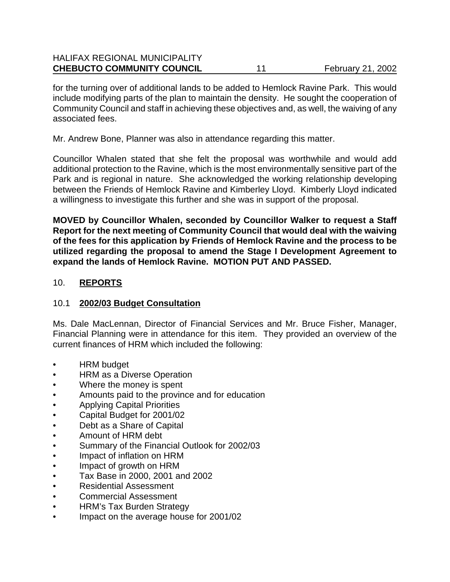| <b>CHEBUCTO COMMUNITY COUNCIL</b>    | <b>February 21, 2002</b> |
|--------------------------------------|--------------------------|
| <b>HALIFAX REGIONAL MUNICIPALITY</b> |                          |

for the turning over of additional lands to be added to Hemlock Ravine Park. This would include modifying parts of the plan to maintain the density. He sought the cooperation of Community Council and staff in achieving these objectives and, as well, the waiving of any associated fees.

Mr. Andrew Bone, Planner was also in attendance regarding this matter.

Councillor Whalen stated that she felt the proposal was worthwhile and would add additional protection to the Ravine, which is the most environmentally sensitive part of the Park and is regional in nature. She acknowledged the working relationship developing between the Friends of Hemlock Ravine and Kimberley Lloyd. Kimberly Lloyd indicated a willingness to investigate this further and she was in support of the proposal.

**MOVED by Councillor Whalen, seconded by Councillor Walker to request a Staff Report for the next meeting of Community Council that would deal with the waiving of the fees for this application by Friends of Hemlock Ravine and the process to be utilized regarding the proposal to amend the Stage I Development Agreement to expand the lands of Hemlock Ravine. MOTION PUT AND PASSED.**

### 10. **REPORTS**

### 10.1 **2002/03 Budget Consultation**

Ms. Dale MacLennan, Director of Financial Services and Mr. Bruce Fisher, Manager, Financial Planning were in attendance for this item. They provided an overview of the current finances of HRM which included the following:

- HRM budget
- HRM as a Diverse Operation
- Where the money is spent
- Amounts paid to the province and for education
- Applying Capital Priorities
- Capital Budget for 2001/02
- Debt as a Share of Capital
- Amount of HRM debt
- Summary of the Financial Outlook for 2002/03
- Impact of inflation on HRM
- Impact of growth on HRM
- Tax Base in 2000, 2001 and 2002
- Residential Assessment
- Commercial Assessment
- HRM's Tax Burden Strategy
- Impact on the average house for 2001/02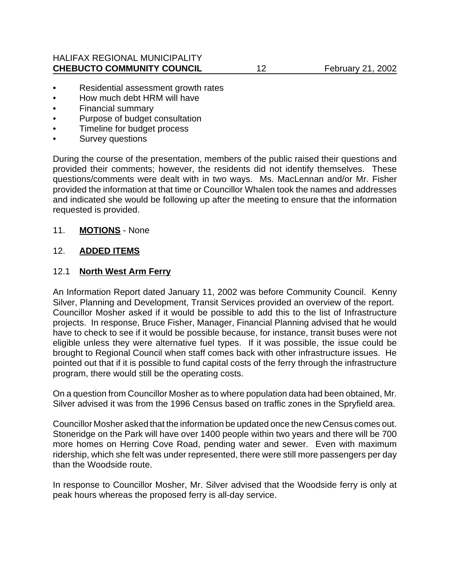### HALIFAX REGIONAL MUNICIPALITY **CHEBUCTO COMMUNITY COUNCIL** 12 February 21, 2002

- Residential assessment growth rates
- How much debt HRM will have
- Financial summary
- Purpose of budget consultation
- Timeline for budget process
- Survey questions

During the course of the presentation, members of the public raised their questions and provided their comments; however, the residents did not identify themselves. These questions/comments were dealt with in two ways. Ms. MacLennan and/or Mr. Fisher provided the information at that time or Councillor Whalen took the names and addresses and indicated she would be following up after the meeting to ensure that the information requested is provided.

### 11. **MOTIONS** - None

### 12. **ADDED ITEMS**

### 12.1 **North West Arm Ferry**

An Information Report dated January 11, 2002 was before Community Council. Kenny Silver, Planning and Development, Transit Services provided an overview of the report. Councillor Mosher asked if it would be possible to add this to the list of Infrastructure projects. In response, Bruce Fisher, Manager, Financial Planning advised that he would have to check to see if it would be possible because, for instance, transit buses were not eligible unless they were alternative fuel types. If it was possible, the issue could be brought to Regional Council when staff comes back with other infrastructure issues. He pointed out that if it is possible to fund capital costs of the ferry through the infrastructure program, there would still be the operating costs.

On a question from Councillor Mosher as to where population data had been obtained, Mr. Silver advised it was from the 1996 Census based on traffic zones in the Spryfield area.

Councillor Mosher asked that the information be updated once the new Census comes out. Stoneridge on the Park will have over 1400 people within two years and there will be 700 more homes on Herring Cove Road, pending water and sewer. Even with maximum ridership, which she felt was under represented, there were still more passengers per day than the Woodside route.

In response to Councillor Mosher, Mr. Silver advised that the Woodside ferry is only at peak hours whereas the proposed ferry is all-day service.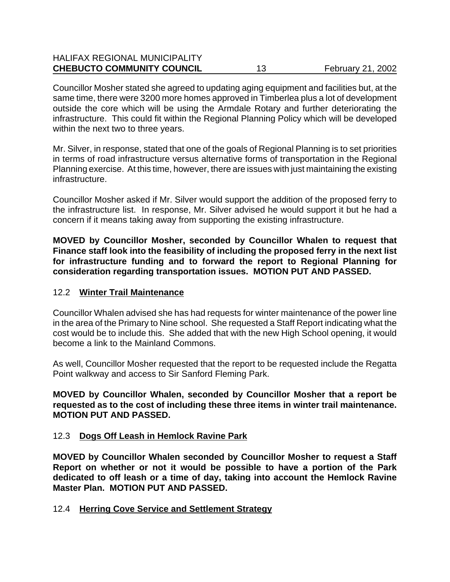| <b>CHEBUCTO COMMUNITY COUNCIL</b>    | <b>February 21, 2002</b> |
|--------------------------------------|--------------------------|
| <b>HALIFAX REGIONAL MUNICIPALITY</b> |                          |

Councillor Mosher stated she agreed to updating aging equipment and facilities but, at the same time, there were 3200 more homes approved in Timberlea plus a lot of development outside the core which will be using the Armdale Rotary and further deteriorating the infrastructure. This could fit within the Regional Planning Policy which will be developed within the next two to three years.

Mr. Silver, in response, stated that one of the goals of Regional Planning is to set priorities in terms of road infrastructure versus alternative forms of transportation in the Regional Planning exercise. At this time, however, there are issues with just maintaining the existing infrastructure.

Councillor Mosher asked if Mr. Silver would support the addition of the proposed ferry to the infrastructure list. In response, Mr. Silver advised he would support it but he had a concern if it means taking away from supporting the existing infrastructure.

**MOVED by Councillor Mosher, seconded by Councillor Whalen to request that Finance staff look into the feasibility of including the proposed ferry in the next list for infrastructure funding and to forward the report to Regional Planning for consideration regarding transportation issues. MOTION PUT AND PASSED.**

### 12.2 **Winter Trail Maintenance**

Councillor Whalen advised she has had requests for winter maintenance of the power line in the area of the Primary to Nine school. She requested a Staff Report indicating what the cost would be to include this. She added that with the new High School opening, it would become a link to the Mainland Commons.

As well, Councillor Mosher requested that the report to be requested include the Regatta Point walkway and access to Sir Sanford Fleming Park.

**MOVED by Councillor Whalen, seconded by Councillor Mosher that a report be requested as to the cost of including these three items in winter trail maintenance. MOTION PUT AND PASSED.**

### 12.3 **Dogs Off Leash in Hemlock Ravine Park**

**MOVED by Councillor Whalen seconded by Councillor Mosher to request a Staff Report on whether or not it would be possible to have a portion of the Park dedicated to off leash or a time of day, taking into account the Hemlock Ravine Master Plan. MOTION PUT AND PASSED.**

12.4 **Herring Cove Service and Settlement Strategy**